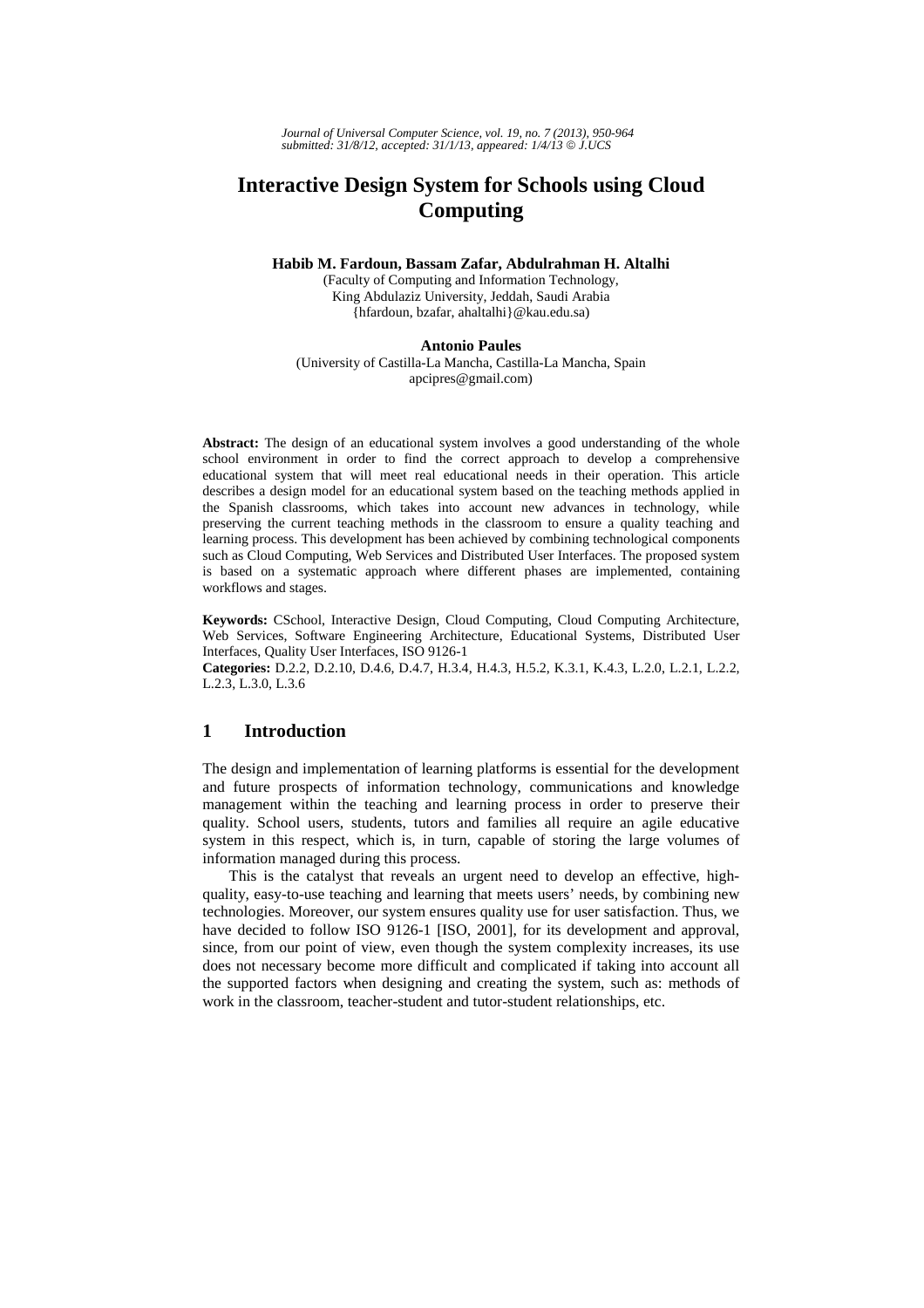*Journal of Universal Computer Science, vol. 19, no. 7 (2013), 950-964 submitted: 31/8/12, accepted: 31/1/13, appeared: 1/4/13* © *J.UCS*

# **Interactive Design System for Schools using Cloud Computing**

**Habib M. Fardoun, Bassam Zafar, Abdulrahman H. Altalhi** 

(Faculty of Computing and Information Technology, King Abdulaziz University, Jeddah, Saudi Arabia {hfardoun, bzafar, ahaltalhi}@kau.edu.sa)

**Antonio Paules**

(University of Castilla-La Mancha, Castilla-La Mancha, Spain apcipres@gmail.com)

**Abstract:** The design of an educational system involves a good understanding of the whole school environment in order to find the correct approach to develop a comprehensive educational system that will meet real educational needs in their operation. This article describes a design model for an educational system based on the teaching methods applied in the Spanish classrooms, which takes into account new advances in technology, while preserving the current teaching methods in the classroom to ensure a quality teaching and learning process. This development has been achieved by combining technological components such as Cloud Computing, Web Services and Distributed User Interfaces. The proposed system is based on a systematic approach where different phases are implemented, containing workflows and stages.

**Keywords:** CSchool, Interactive Design, Cloud Computing, Cloud Computing Architecture, Web Services, Software Engineering Architecture, Educational Systems, Distributed User Interfaces, Quality User Interfaces, ISO 9126-1

**Categories:** D.2.2, D.2.10, D.4.6, D.4.7, H.3.4, H.4.3, H.5.2, K.3.1, K.4.3, L.2.0, L.2.1, L.2.2, L.2.3, L.3.0, L.3.6

# **1 Introduction**

The design and implementation of learning platforms is essential for the development and future prospects of information technology, communications and knowledge management within the teaching and learning process in order to preserve their quality. School users, students, tutors and families all require an agile educative system in this respect, which is, in turn, capable of storing the large volumes of information managed during this process.

This is the catalyst that reveals an urgent need to develop an effective, highquality, easy-to-use teaching and learning that meets users' needs, by combining new technologies. Moreover, our system ensures quality use for user satisfaction. Thus, we have decided to follow ISO 9126-1 [ISO, 2001], for its development and approval, since, from our point of view, even though the system complexity increases, its use does not necessary become more difficult and complicated if taking into account all the supported factors when designing and creating the system, such as: methods of work in the classroom, teacher-student and tutor-student relationships, etc.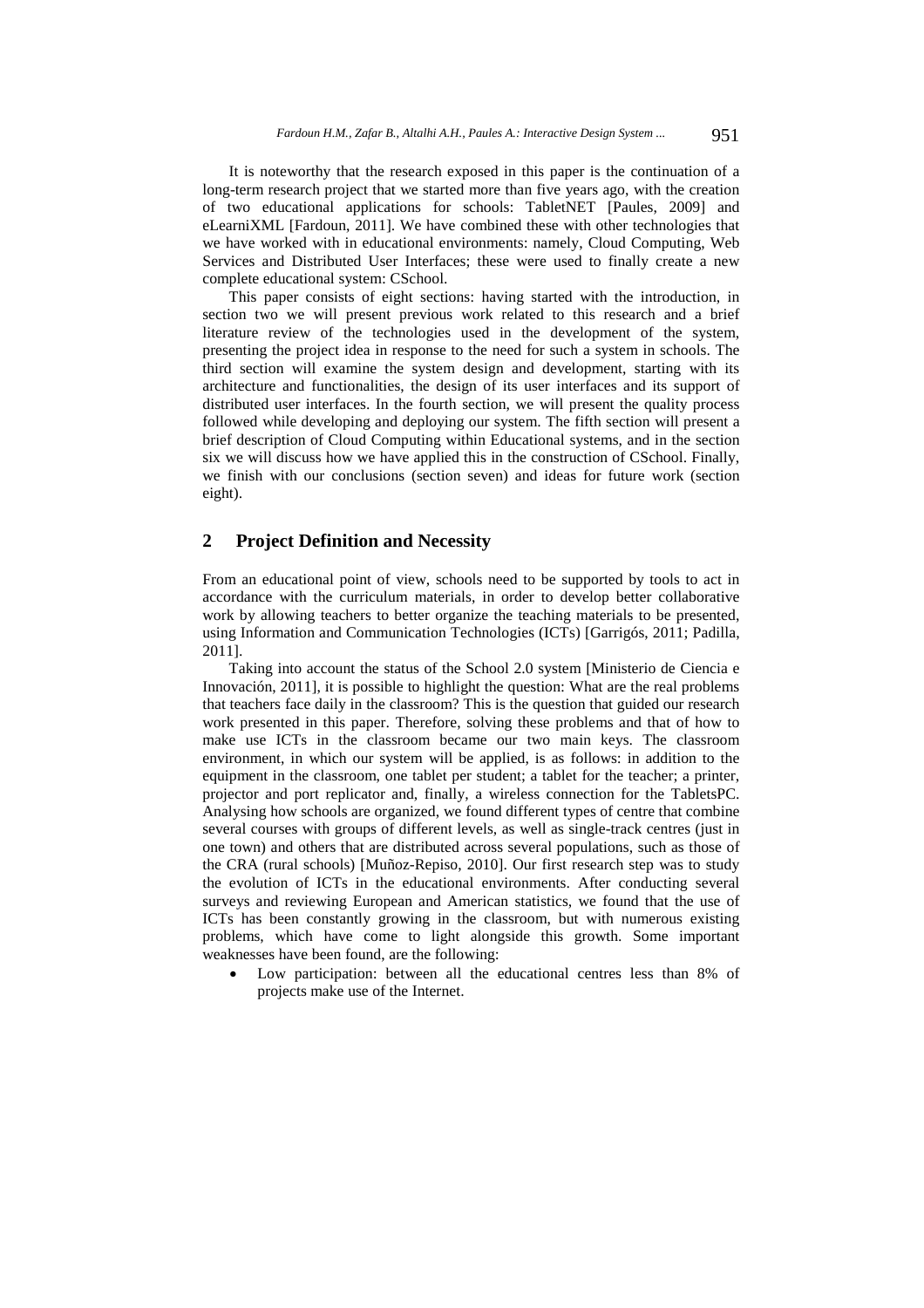It is noteworthy that the research exposed in this paper is the continuation of a long-term research project that we started more than five years ago, with the creation of two educational applications for schools: TabletNET [Paules, 2009] and eLearniXML [Fardoun, 2011]. We have combined these with other technologies that we have worked with in educational environments: namely, Cloud Computing, Web Services and Distributed User Interfaces; these were used to finally create a new complete educational system: CSchool.

This paper consists of eight sections: having started with the introduction, in section two we will present previous work related to this research and a brief literature review of the technologies used in the development of the system, presenting the project idea in response to the need for such a system in schools. The third section will examine the system design and development, starting with its architecture and functionalities, the design of its user interfaces and its support of distributed user interfaces. In the fourth section, we will present the quality process followed while developing and deploying our system. The fifth section will present a brief description of Cloud Computing within Educational systems, and in the section six we will discuss how we have applied this in the construction of CSchool. Finally, we finish with our conclusions (section seven) and ideas for future work (section eight).

# **2 Project Definition and Necessity**

From an educational point of view, schools need to be supported by tools to act in accordance with the curriculum materials, in order to develop better collaborative work by allowing teachers to better organize the teaching materials to be presented, using Information and Communication Technologies (ICTs) [Garrigós, 2011; Padilla, 2011].

Taking into account the status of the School 2.0 system [Ministerio de Ciencia e Innovación, 2011], it is possible to highlight the question: What are the real problems that teachers face daily in the classroom? This is the question that guided our research work presented in this paper. Therefore, solving these problems and that of how to make use ICTs in the classroom became our two main keys. The classroom environment, in which our system will be applied, is as follows: in addition to the equipment in the classroom, one tablet per student; a tablet for the teacher; a printer, projector and port replicator and, finally, a wireless connection for the TabletsPC. Analysing how schools are organized, we found different types of centre that combine several courses with groups of different levels, as well as single-track centres (just in one town) and others that are distributed across several populations, such as those of the CRA (rural schools) [Muñoz-Repiso, 2010]. Our first research step was to study the evolution of ICTs in the educational environments. After conducting several surveys and reviewing European and American statistics, we found that the use of ICTs has been constantly growing in the classroom, but with numerous existing problems, which have come to light alongside this growth. Some important weaknesses have been found, are the following:

 Low participation: between all the educational centres less than 8% of projects make use of the Internet.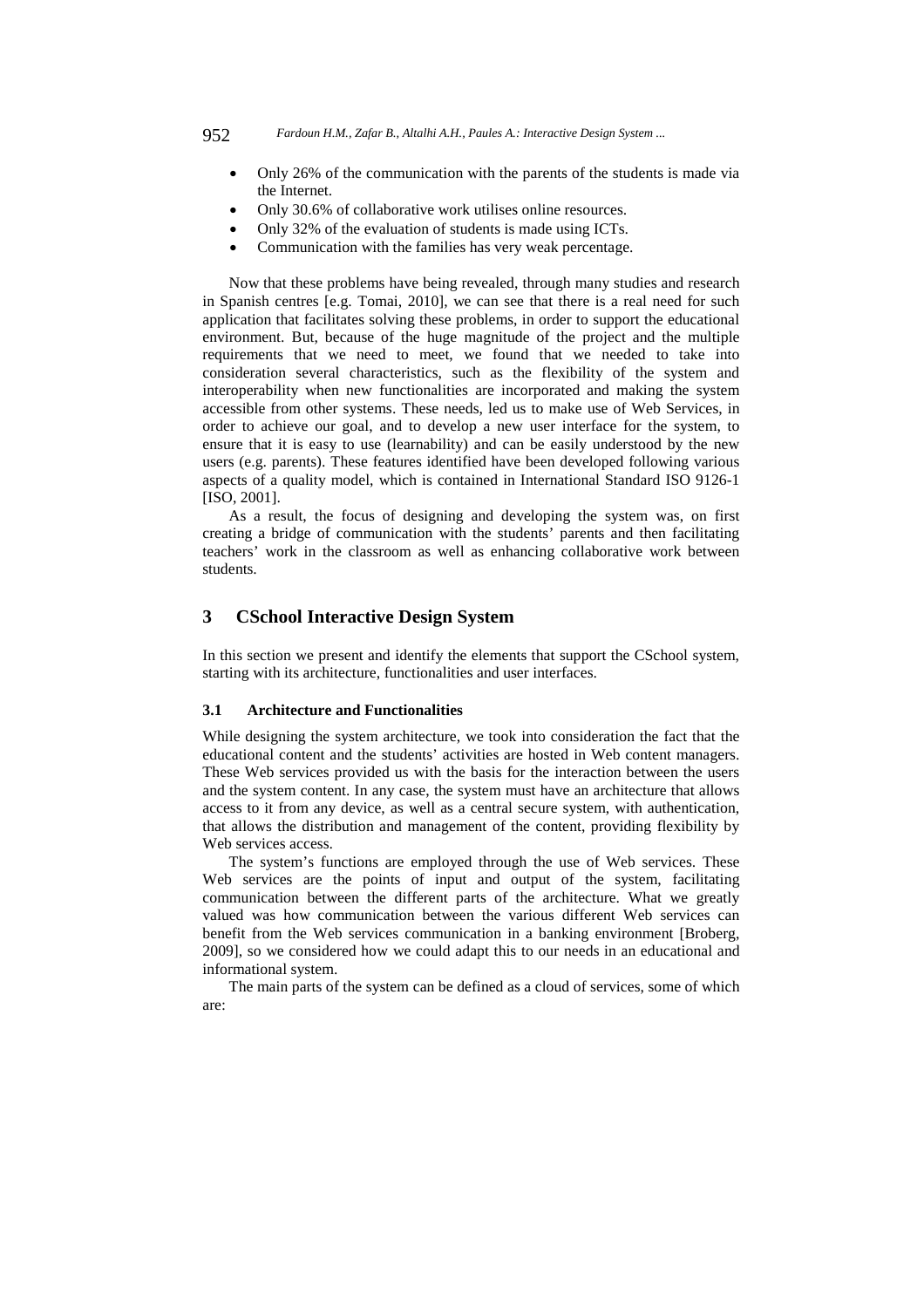- Only 26% of the communication with the parents of the students is made via the Internet.
- Only 30.6% of collaborative work utilises online resources.
- Only 32% of the evaluation of students is made using ICTs.
- Communication with the families has very weak percentage.

Now that these problems have being revealed, through many studies and research in Spanish centres [e.g. Tomai, 2010], we can see that there is a real need for such application that facilitates solving these problems, in order to support the educational environment. But, because of the huge magnitude of the project and the multiple requirements that we need to meet, we found that we needed to take into consideration several characteristics, such as the flexibility of the system and interoperability when new functionalities are incorporated and making the system accessible from other systems. These needs, led us to make use of Web Services, in order to achieve our goal, and to develop a new user interface for the system, to ensure that it is easy to use (learnability) and can be easily understood by the new users (e.g. parents). These features identified have been developed following various aspects of a quality model, which is contained in International Standard ISO 9126-1 [ISO, 2001].

As a result, the focus of designing and developing the system was, on first creating a bridge of communication with the students' parents and then facilitating teachers' work in the classroom as well as enhancing collaborative work between students.

# **3 CSchool Interactive Design System**

In this section we present and identify the elements that support the CSchool system, starting with its architecture, functionalities and user interfaces.

#### **3.1 Architecture and Functionalities**

While designing the system architecture, we took into consideration the fact that the educational content and the students' activities are hosted in Web content managers. These Web services provided us with the basis for the interaction between the users and the system content. In any case, the system must have an architecture that allows access to it from any device, as well as a central secure system, with authentication, that allows the distribution and management of the content, providing flexibility by Web services access.

The system's functions are employed through the use of Web services. These Web services are the points of input and output of the system, facilitating communication between the different parts of the architecture. What we greatly valued was how communication between the various different Web services can benefit from the Web services communication in a banking environment [Broberg, 2009], so we considered how we could adapt this to our needs in an educational and informational system.

The main parts of the system can be defined as a cloud of services, some of which are: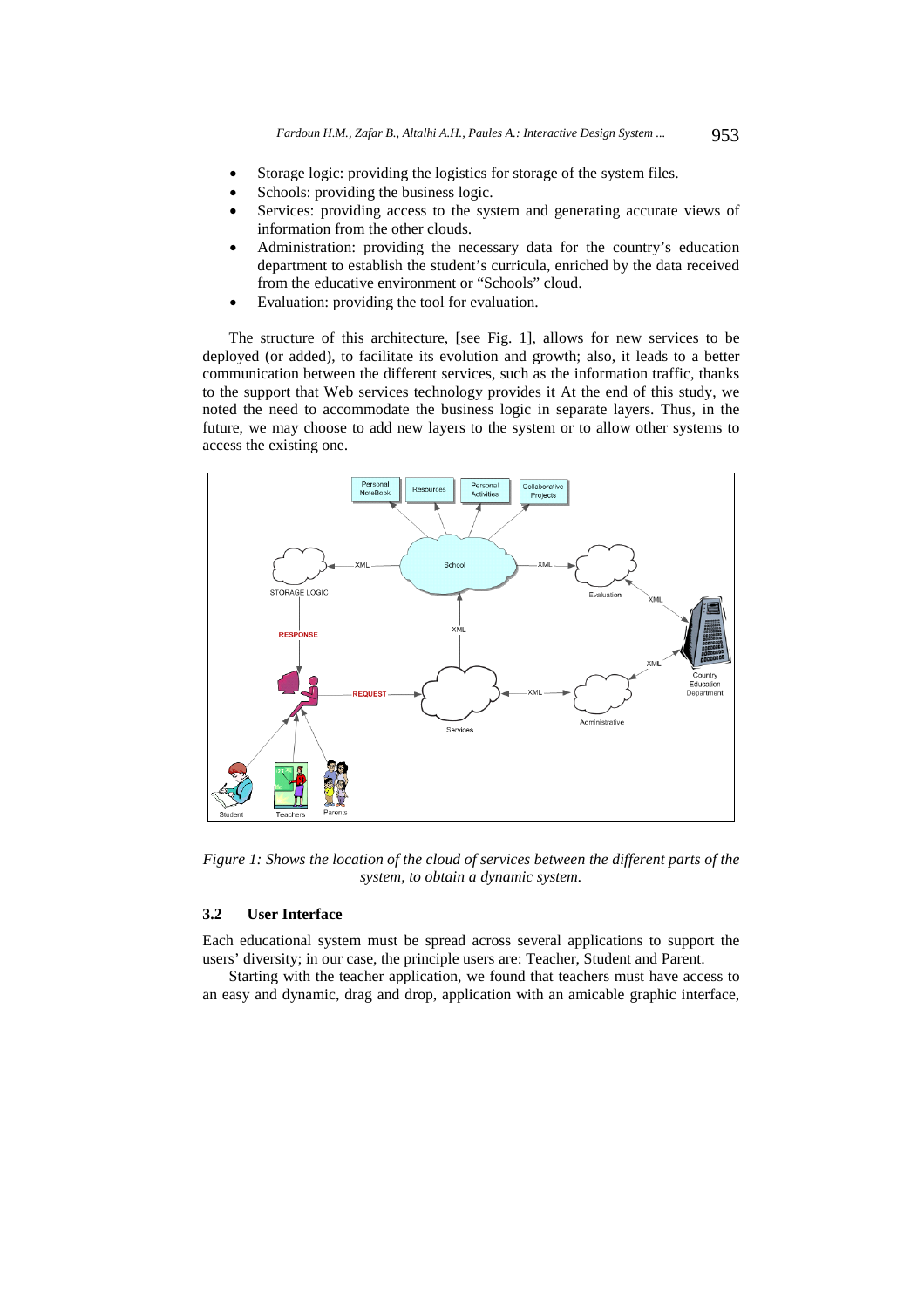- Storage logic: providing the logistics for storage of the system files.
- Schools: providing the business logic.
- Services: providing access to the system and generating accurate views of information from the other clouds.
- Administration: providing the necessary data for the country's education department to establish the student's curricula, enriched by the data received from the educative environment or "Schools" cloud.
- Evaluation: providing the tool for evaluation.

The structure of this architecture, [see Fig. 1], allows for new services to be deployed (or added), to facilitate its evolution and growth; also, it leads to a better communication between the different services, such as the information traffic, thanks to the support that Web services technology provides it At the end of this study, we noted the need to accommodate the business logic in separate layers. Thus, in the future, we may choose to add new layers to the system or to allow other systems to access the existing one.



*Figure 1: Shows the location of the cloud of services between the different parts of the system, to obtain a dynamic system.* 

### **3.2 User Interface**

Each educational system must be spread across several applications to support the users' diversity; in our case, the principle users are: Teacher, Student and Parent.

Starting with the teacher application, we found that teachers must have access to an easy and dynamic, drag and drop, application with an amicable graphic interface,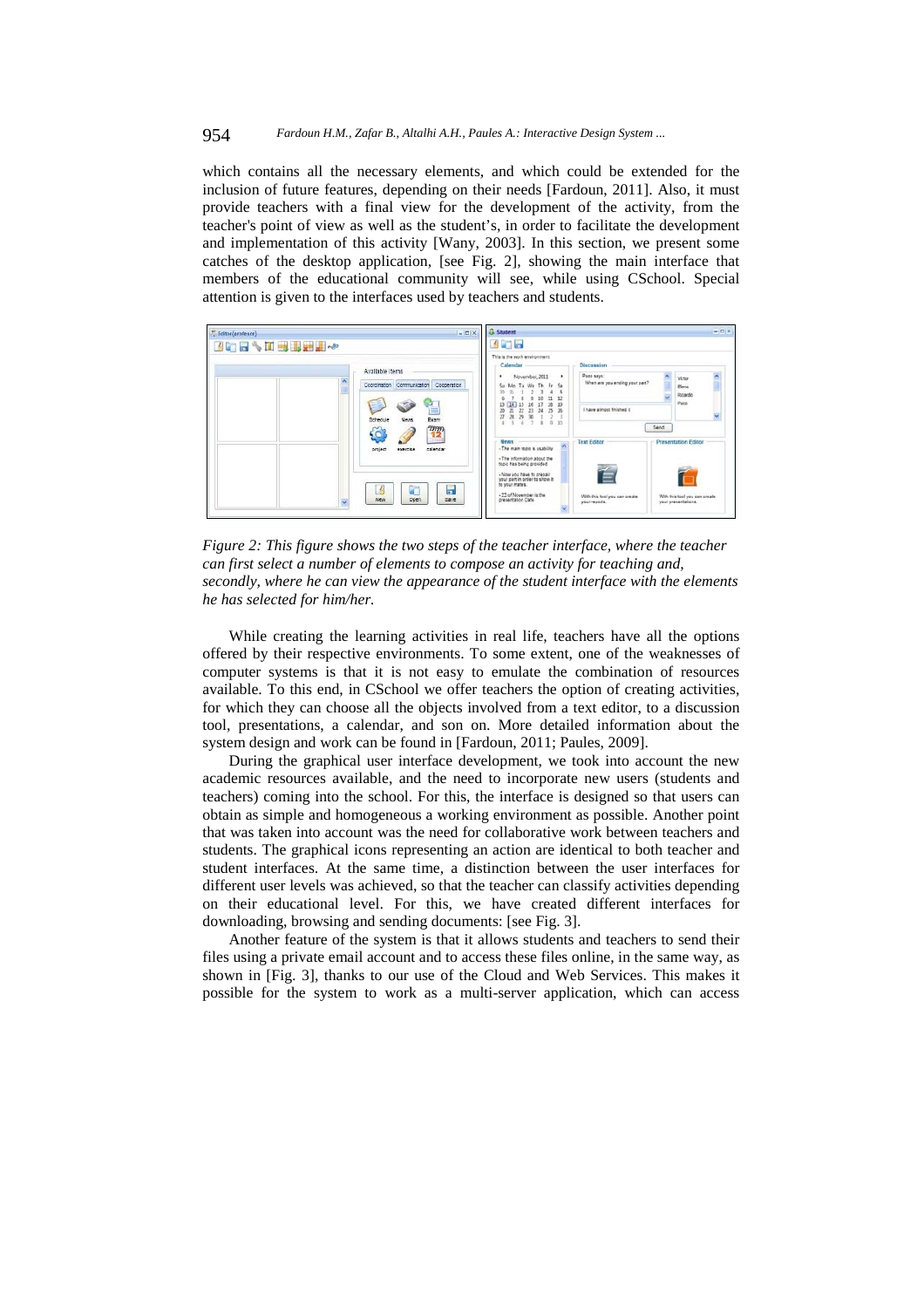#### 954 *Fardoun H.M., Zafar B., Altalhi A.H., Paules A.: Interactive Design System ...*

which contains all the necessary elements, and which could be extended for the inclusion of future features, depending on their needs [Fardoun, 2011]. Also, it must provide teachers with a final view for the development of the activity, from the teacher's point of view as well as the student's, in order to facilitate the development and implementation of this activity [Wany, 2003]. In this section, we present some catches of the desktop application, [see Fig. 2], showing the main interface that members of the educational community will see, while using CSchool. Special attention is given to the interfaces used by teachers and students.



*Figure 2: This figure shows the two steps of the teacher interface, where the teacher can first select a number of elements to compose an activity for teaching and, secondly, where he can view the appearance of the student interface with the elements he has selected for him/her.* 

While creating the learning activities in real life, teachers have all the options offered by their respective environments. To some extent, one of the weaknesses of computer systems is that it is not easy to emulate the combination of resources available. To this end, in CSchool we offer teachers the option of creating activities, for which they can choose all the objects involved from a text editor, to a discussion tool, presentations, a calendar, and son on. More detailed information about the system design and work can be found in [Fardoun, 2011; Paules, 2009].

During the graphical user interface development, we took into account the new academic resources available, and the need to incorporate new users (students and teachers) coming into the school. For this, the interface is designed so that users can obtain as simple and homogeneous a working environment as possible. Another point that was taken into account was the need for collaborative work between teachers and students. The graphical icons representing an action are identical to both teacher and student interfaces. At the same time, a distinction between the user interfaces for different user levels was achieved, so that the teacher can classify activities depending on their educational level. For this, we have created different interfaces for downloading, browsing and sending documents: [see Fig. 3].

Another feature of the system is that it allows students and teachers to send their files using a private email account and to access these files online, in the same way, as shown in [Fig. 3], thanks to our use of the Cloud and Web Services. This makes it possible for the system to work as a multi-server application, which can access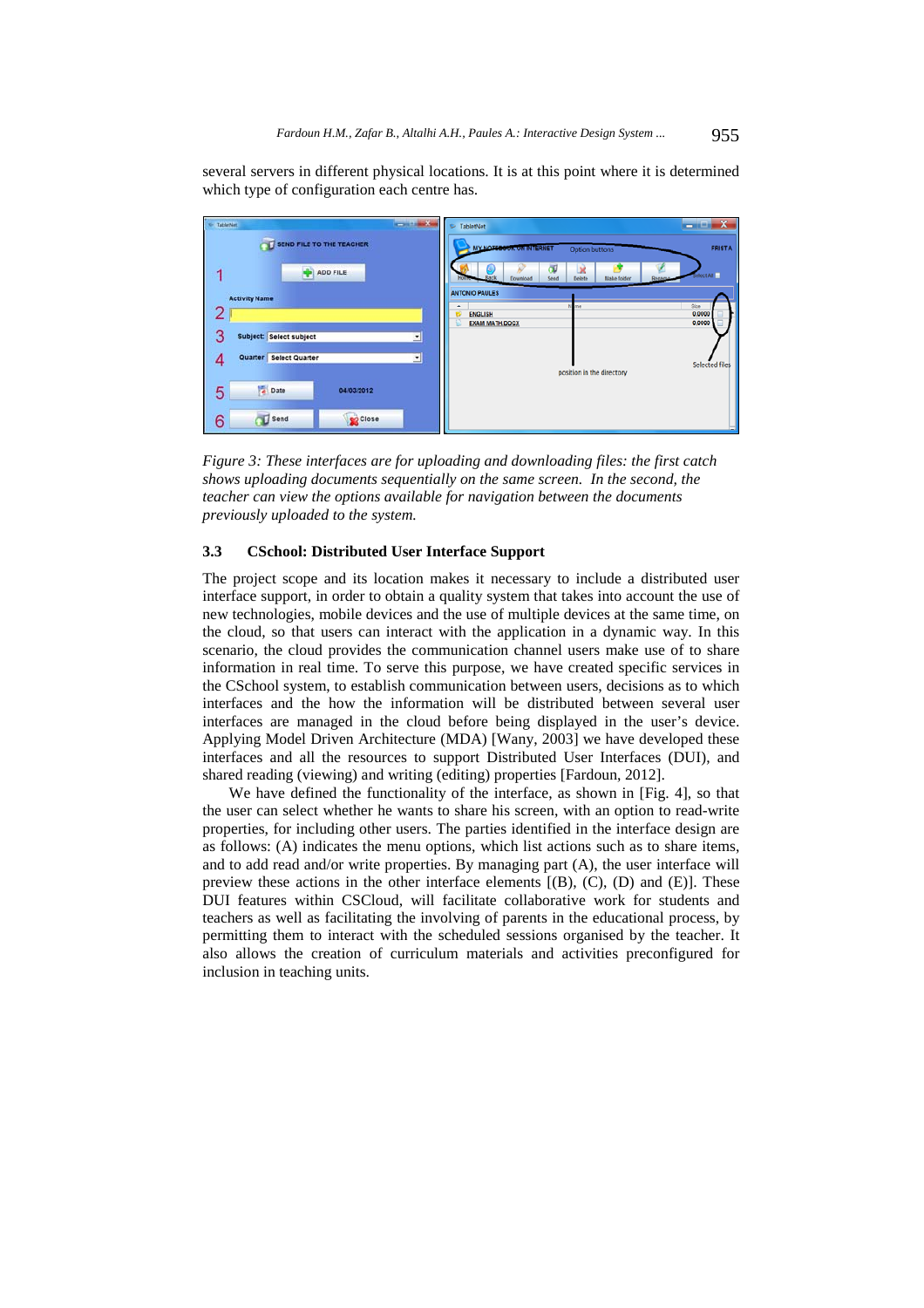several servers in different physical locations. It is at this point where it is determined which type of configuration each centre has.



*Figure 3: These interfaces are for uploading and downloading files: the first catch shows uploading documents sequentially on the same screen. In the second, the teacher can view the options available for navigation between the documents previously uploaded to the system.* 

### **3.3 CSchool: Distributed User Interface Support**

The project scope and its location makes it necessary to include a distributed user interface support, in order to obtain a quality system that takes into account the use of new technologies, mobile devices and the use of multiple devices at the same time, on the cloud, so that users can interact with the application in a dynamic way. In this scenario, the cloud provides the communication channel users make use of to share information in real time. To serve this purpose, we have created specific services in the CSchool system, to establish communication between users, decisions as to which interfaces and the how the information will be distributed between several user interfaces are managed in the cloud before being displayed in the user's device. Applying Model Driven Architecture (MDA) [Wany, 2003] we have developed these interfaces and all the resources to support Distributed User Interfaces (DUI), and shared reading (viewing) and writing (editing) properties [Fardoun, 2012].

We have defined the functionality of the interface, as shown in [Fig. 4], so that the user can select whether he wants to share his screen, with an option to read-write properties, for including other users. The parties identified in the interface design are as follows: (A) indicates the menu options, which list actions such as to share items, and to add read and/or write properties. By managing part (A), the user interface will preview these actions in the other interface elements  $[(B), (C), (D)$  and  $(E)]$ . These DUI features within CSCloud, will facilitate collaborative work for students and teachers as well as facilitating the involving of parents in the educational process, by permitting them to interact with the scheduled sessions organised by the teacher. It also allows the creation of curriculum materials and activities preconfigured for inclusion in teaching units.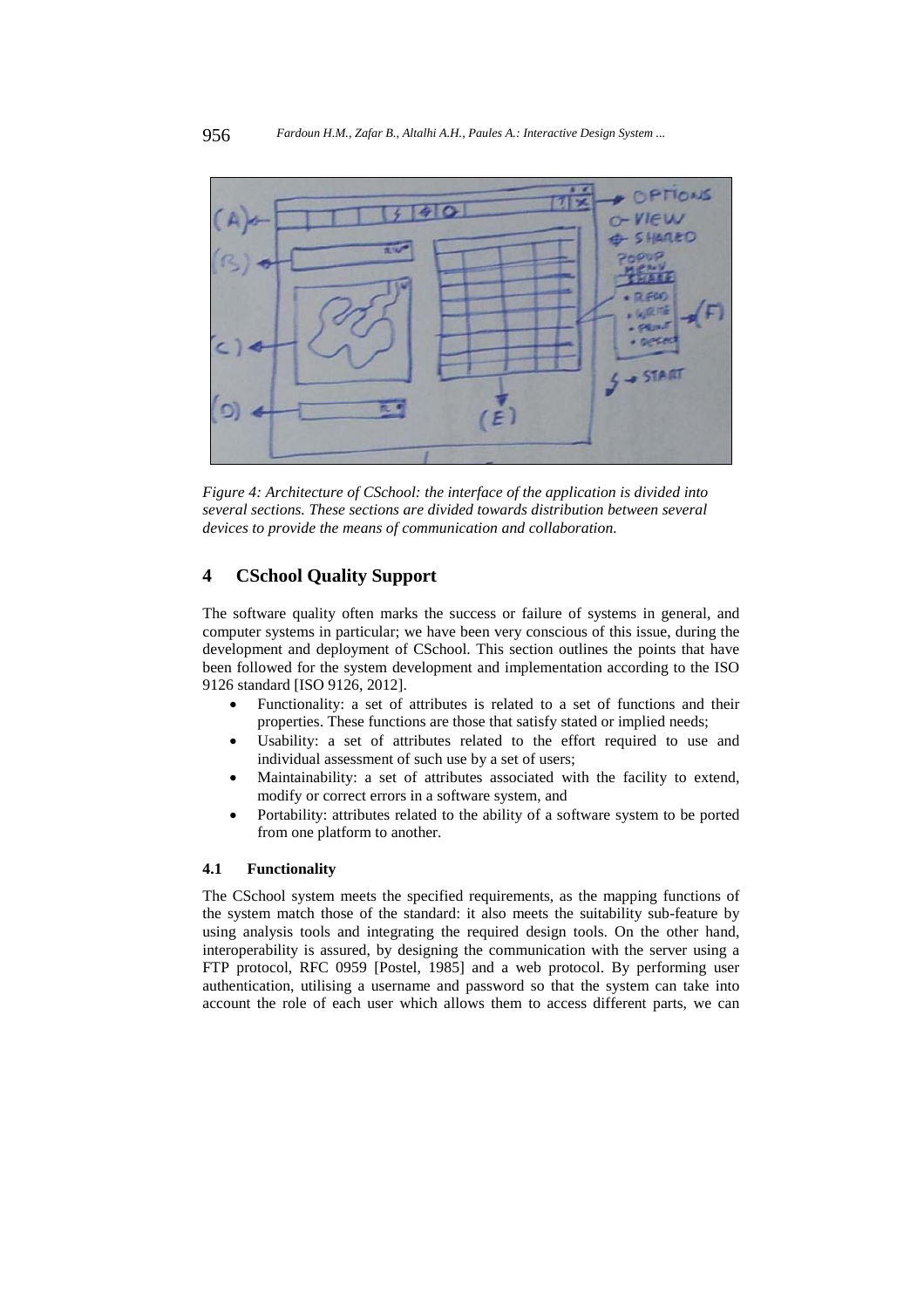

*Figure 4: Architecture of CSchool: the interface of the application is divided into several sections. These sections are divided towards distribution between several devices to provide the means of communication and collaboration.* 

# **4 CSchool Quality Support**

The software quality often marks the success or failure of systems in general, and computer systems in particular; we have been very conscious of this issue, during the development and deployment of CSchool. This section outlines the points that have been followed for the system development and implementation according to the ISO 9126 standard [ISO 9126, 2012].

- Functionality: a set of attributes is related to a set of functions and their properties. These functions are those that satisfy stated or implied needs;
- Usability: a set of attributes related to the effort required to use and individual assessment of such use by a set of users;
- Maintainability: a set of attributes associated with the facility to extend, modify or correct errors in a software system, and
- Portability: attributes related to the ability of a software system to be ported from one platform to another.

#### **4.1 Functionality**

The CSchool system meets the specified requirements, as the mapping functions of the system match those of the standard: it also meets the suitability sub-feature by using analysis tools and integrating the required design tools. On the other hand, interoperability is assured, by designing the communication with the server using a FTP protocol, RFC 0959 [Postel, 1985] and a web protocol. By performing user authentication, utilising a username and password so that the system can take into account the role of each user which allows them to access different parts, we can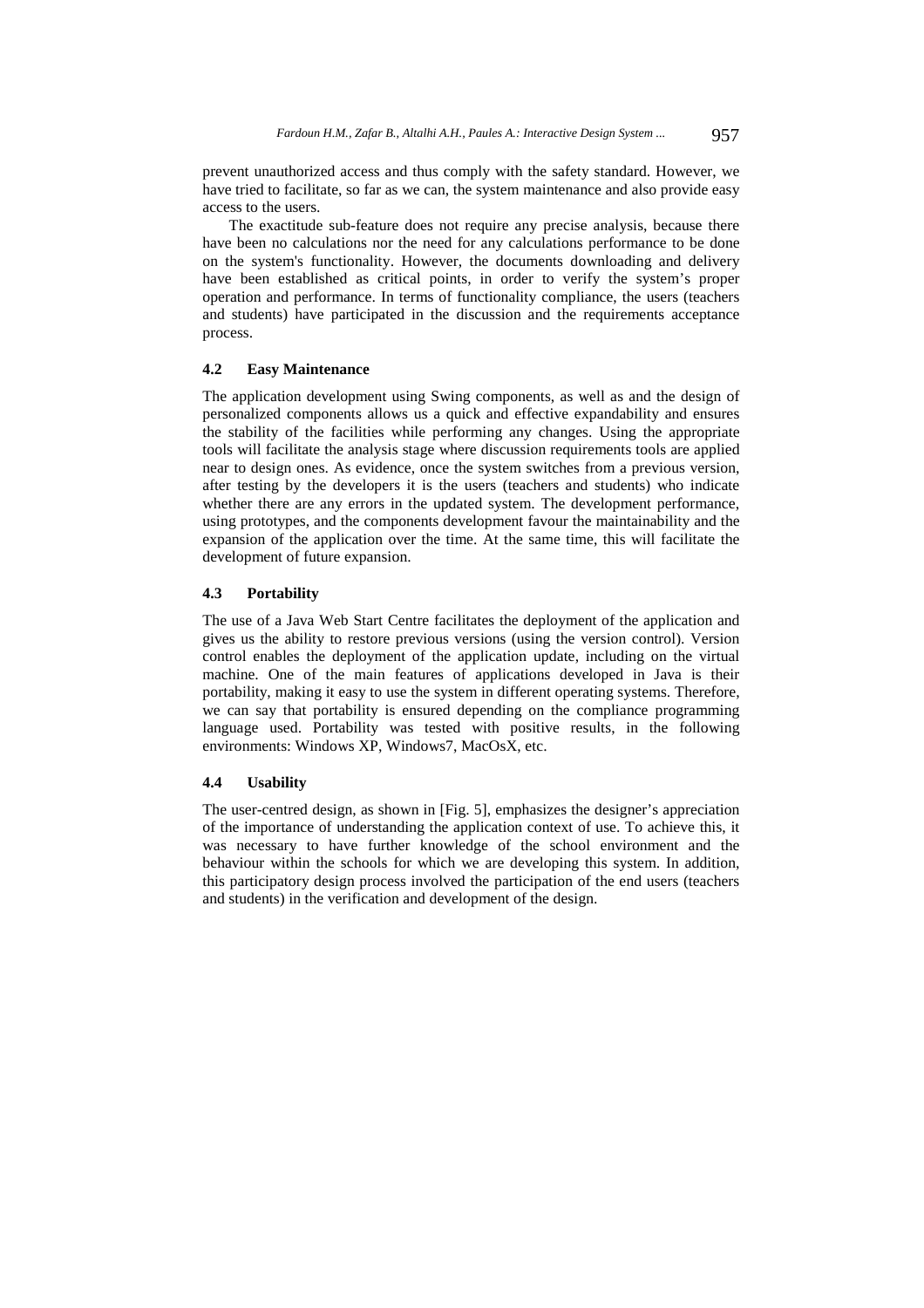prevent unauthorized access and thus comply with the safety standard. However, we have tried to facilitate, so far as we can, the system maintenance and also provide easy access to the users.

The exactitude sub-feature does not require any precise analysis, because there have been no calculations nor the need for any calculations performance to be done on the system's functionality. However, the documents downloading and delivery have been established as critical points, in order to verify the system's proper operation and performance. In terms of functionality compliance, the users (teachers and students) have participated in the discussion and the requirements acceptance process.

#### **4.2 Easy Maintenance**

The application development using Swing components, as well as and the design of personalized components allows us a quick and effective expandability and ensures the stability of the facilities while performing any changes. Using the appropriate tools will facilitate the analysis stage where discussion requirements tools are applied near to design ones. As evidence, once the system switches from a previous version, after testing by the developers it is the users (teachers and students) who indicate whether there are any errors in the updated system. The development performance, using prototypes, and the components development favour the maintainability and the expansion of the application over the time. At the same time, this will facilitate the development of future expansion.

#### **4.3 Portability**

The use of a Java Web Start Centre facilitates the deployment of the application and gives us the ability to restore previous versions (using the version control). Version control enables the deployment of the application update, including on the virtual machine. One of the main features of applications developed in Java is their portability, making it easy to use the system in different operating systems. Therefore, we can say that portability is ensured depending on the compliance programming language used. Portability was tested with positive results, in the following environments: Windows XP, Windows7, MacOsX, etc.

#### **4.4 Usability**

The user-centred design, as shown in [Fig. 5], emphasizes the designer's appreciation of the importance of understanding the application context of use. To achieve this, it was necessary to have further knowledge of the school environment and the behaviour within the schools for which we are developing this system. In addition, this participatory design process involved the participation of the end users (teachers and students) in the verification and development of the design.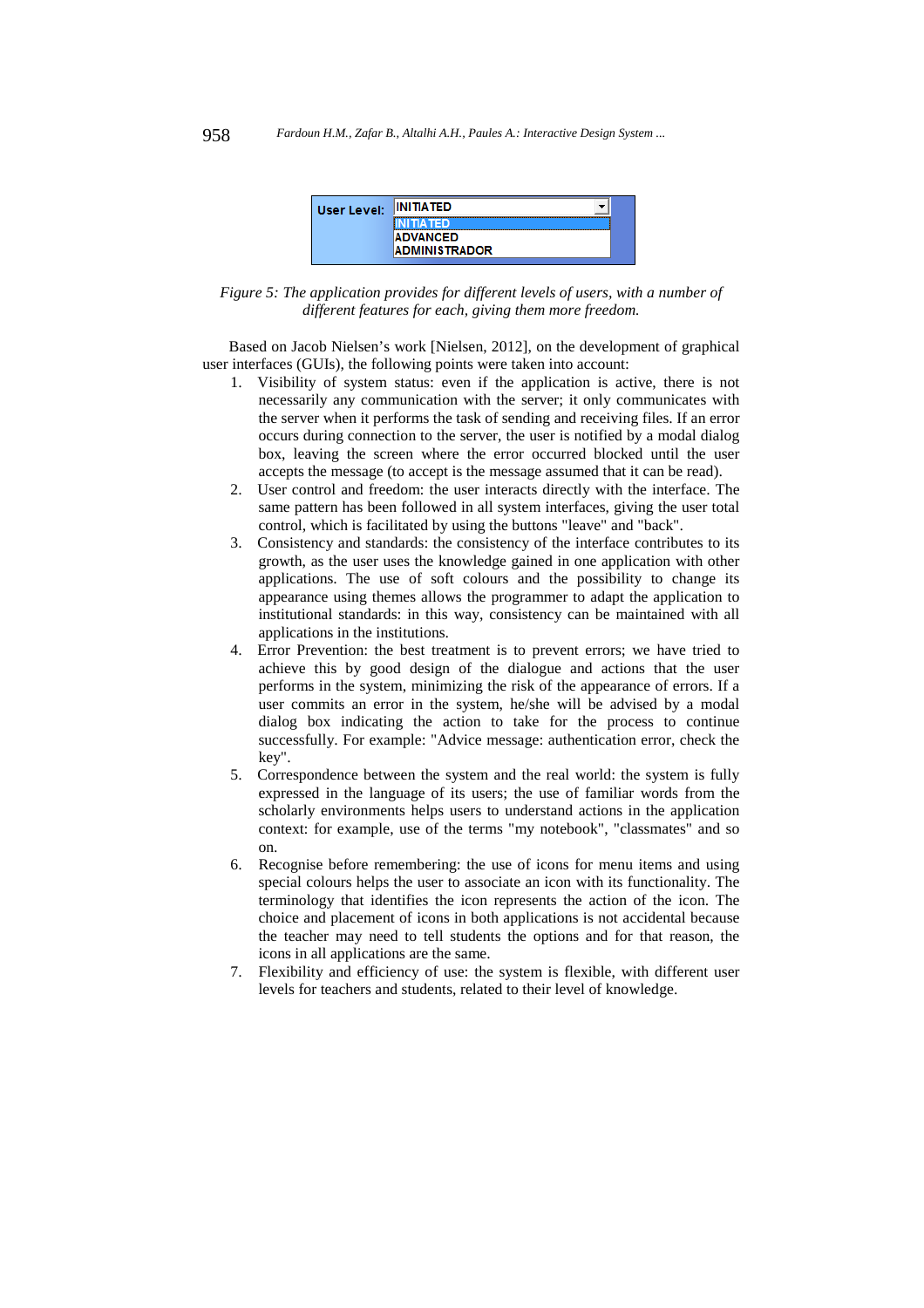| User Level: | <b>INITIATED</b>     |  |
|-------------|----------------------|--|
|             | vensk                |  |
|             | <b>ADVANCED</b>      |  |
|             | <b>ADMINISTRADOR</b> |  |

*Figure 5: The application provides for different levels of users, with a number of different features for each, giving them more freedom.* 

Based on Jacob Nielsen's work [Nielsen, 2012], on the development of graphical user interfaces (GUIs), the following points were taken into account:

- 1. Visibility of system status: even if the application is active, there is not necessarily any communication with the server; it only communicates with the server when it performs the task of sending and receiving files. If an error occurs during connection to the server, the user is notified by a modal dialog box, leaving the screen where the error occurred blocked until the user accepts the message (to accept is the message assumed that it can be read).
- 2. User control and freedom: the user interacts directly with the interface. The same pattern has been followed in all system interfaces, giving the user total control, which is facilitated by using the buttons "leave" and "back".
- 3. Consistency and standards: the consistency of the interface contributes to its growth, as the user uses the knowledge gained in one application with other applications. The use of soft colours and the possibility to change its appearance using themes allows the programmer to adapt the application to institutional standards: in this way, consistency can be maintained with all applications in the institutions.
- 4. Error Prevention: the best treatment is to prevent errors; we have tried to achieve this by good design of the dialogue and actions that the user performs in the system, minimizing the risk of the appearance of errors. If a user commits an error in the system, he/she will be advised by a modal dialog box indicating the action to take for the process to continue successfully. For example: "Advice message: authentication error, check the key".
- 5. Correspondence between the system and the real world: the system is fully expressed in the language of its users; the use of familiar words from the scholarly environments helps users to understand actions in the application context: for example, use of the terms "my notebook", "classmates" and so on.
- 6. Recognise before remembering: the use of icons for menu items and using special colours helps the user to associate an icon with its functionality. The terminology that identifies the icon represents the action of the icon. The choice and placement of icons in both applications is not accidental because the teacher may need to tell students the options and for that reason, the icons in all applications are the same.
- 7. Flexibility and efficiency of use: the system is flexible, with different user levels for teachers and students, related to their level of knowledge.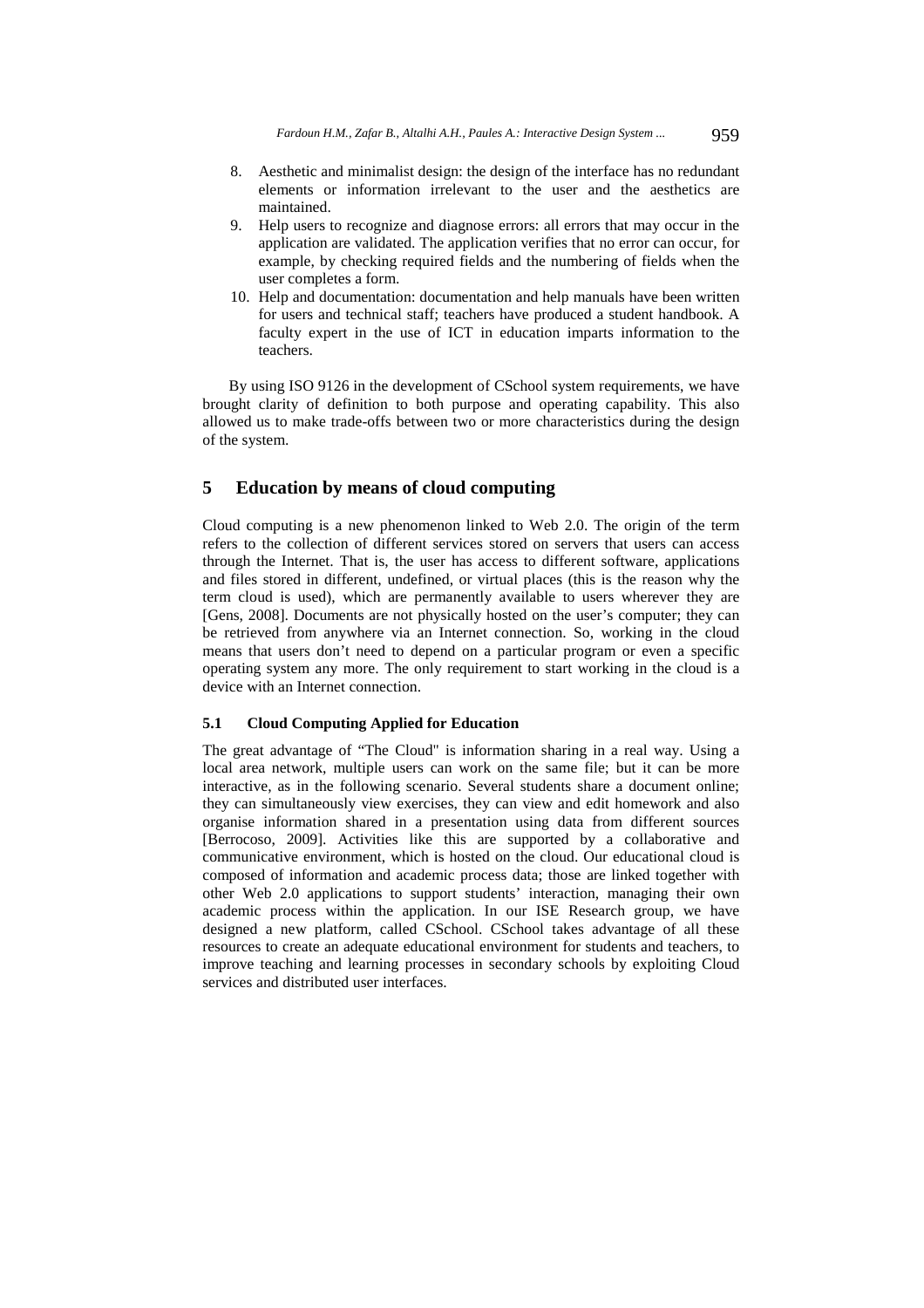- 8. Aesthetic and minimalist design: the design of the interface has no redundant elements or information irrelevant to the user and the aesthetics are maintained.
- 9. Help users to recognize and diagnose errors: all errors that may occur in the application are validated. The application verifies that no error can occur, for example, by checking required fields and the numbering of fields when the user completes a form.
- 10. Help and documentation: documentation and help manuals have been written for users and technical staff; teachers have produced a student handbook. A faculty expert in the use of ICT in education imparts information to the teachers.

By using ISO 9126 in the development of CSchool system requirements, we have brought clarity of definition to both purpose and operating capability. This also allowed us to make trade-offs between two or more characteristics during the design of the system.

# **5 Education by means of cloud computing**

Cloud computing is a new phenomenon linked to Web 2.0. The origin of the term refers to the collection of different services stored on servers that users can access through the Internet. That is, the user has access to different software, applications and files stored in different, undefined, or virtual places (this is the reason why the term cloud is used), which are permanently available to users wherever they are [Gens, 2008]. Documents are not physically hosted on the user's computer; they can be retrieved from anywhere via an Internet connection. So, working in the cloud means that users don't need to depend on a particular program or even a specific operating system any more. The only requirement to start working in the cloud is a device with an Internet connection.

#### **5.1 Cloud Computing Applied for Education**

The great advantage of "The Cloud" is information sharing in a real way. Using a local area network, multiple users can work on the same file; but it can be more interactive, as in the following scenario. Several students share a document online; they can simultaneously view exercises, they can view and edit homework and also organise information shared in a presentation using data from different sources [Berrocoso, 2009]. Activities like this are supported by a collaborative and communicative environment, which is hosted on the cloud. Our educational cloud is composed of information and academic process data; those are linked together with other Web 2.0 applications to support students' interaction, managing their own academic process within the application. In our ISE Research group, we have designed a new platform, called CSchool. CSchool takes advantage of all these resources to create an adequate educational environment for students and teachers, to improve teaching and learning processes in secondary schools by exploiting Cloud services and distributed user interfaces.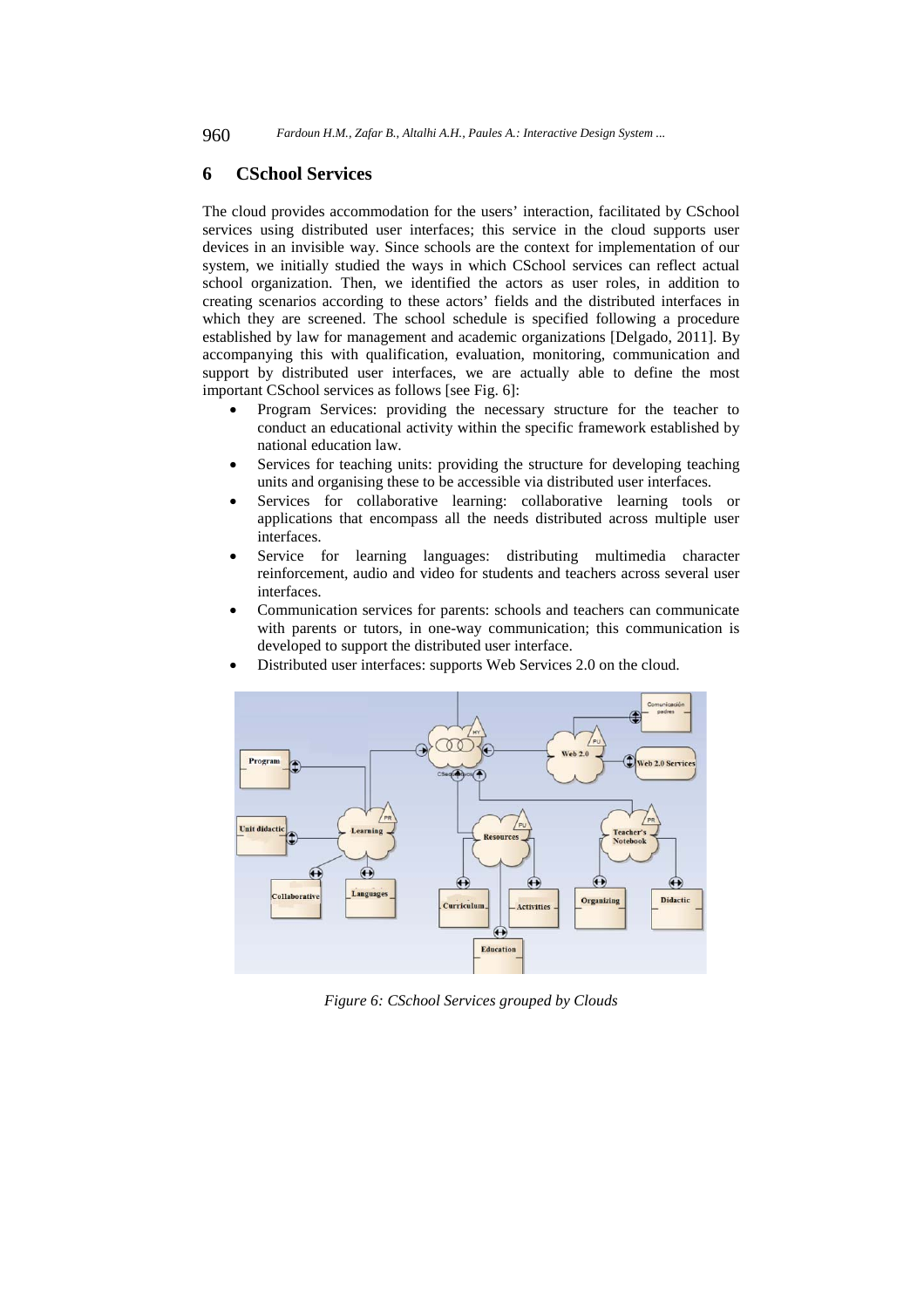### **6 CSchool Services**

The cloud provides accommodation for the users' interaction, facilitated by CSchool services using distributed user interfaces; this service in the cloud supports user devices in an invisible way. Since schools are the context for implementation of our system, we initially studied the ways in which CSchool services can reflect actual school organization. Then, we identified the actors as user roles, in addition to creating scenarios according to these actors' fields and the distributed interfaces in which they are screened. The school schedule is specified following a procedure established by law for management and academic organizations [Delgado, 2011]. By accompanying this with qualification, evaluation, monitoring, communication and support by distributed user interfaces, we are actually able to define the most important CSchool services as follows [see Fig. 6]:

- Program Services: providing the necessary structure for the teacher to conduct an educational activity within the specific framework established by national education law.
- Services for teaching units: providing the structure for developing teaching units and organising these to be accessible via distributed user interfaces.
- Services for collaborative learning: collaborative learning tools or applications that encompass all the needs distributed across multiple user interfaces.
- Service for learning languages: distributing multimedia character reinforcement, audio and video for students and teachers across several user interfaces.
- Communication services for parents: schools and teachers can communicate with parents or tutors, in one-way communication; this communication is developed to support the distributed user interface.



Distributed user interfaces: supports Web Services 2.0 on the cloud.

*Figure 6: CSchool Services grouped by Clouds*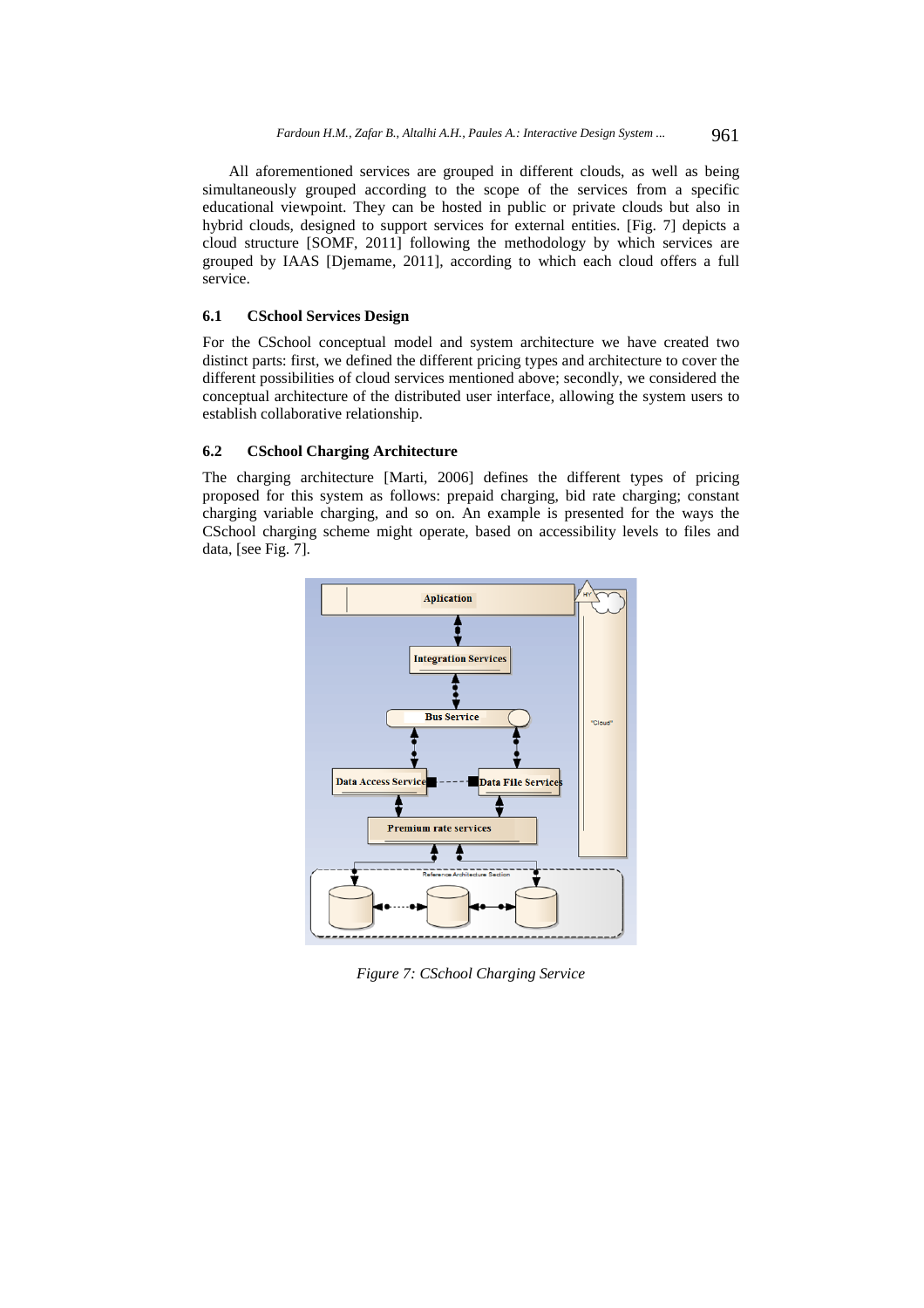All aforementioned services are grouped in different clouds, as well as being simultaneously grouped according to the scope of the services from a specific educational viewpoint. They can be hosted in public or private clouds but also in hybrid clouds, designed to support services for external entities. [Fig. 7] depicts a cloud structure [SOMF, 2011] following the methodology by which services are grouped by IAAS [Djemame, 2011], according to which each cloud offers a full service.

#### **6.1 CSchool Services Design**

For the CSchool conceptual model and system architecture we have created two distinct parts: first, we defined the different pricing types and architecture to cover the different possibilities of cloud services mentioned above; secondly, we considered the conceptual architecture of the distributed user interface, allowing the system users to establish collaborative relationship.

#### **6.2 CSchool Charging Architecture**

The charging architecture [Marti, 2006] defines the different types of pricing proposed for this system as follows: prepaid charging, bid rate charging; constant charging variable charging, and so on. An example is presented for the ways the CSchool charging scheme might operate, based on accessibility levels to files and data, [see Fig. 7].



*Figure 7: CSchool Charging Service*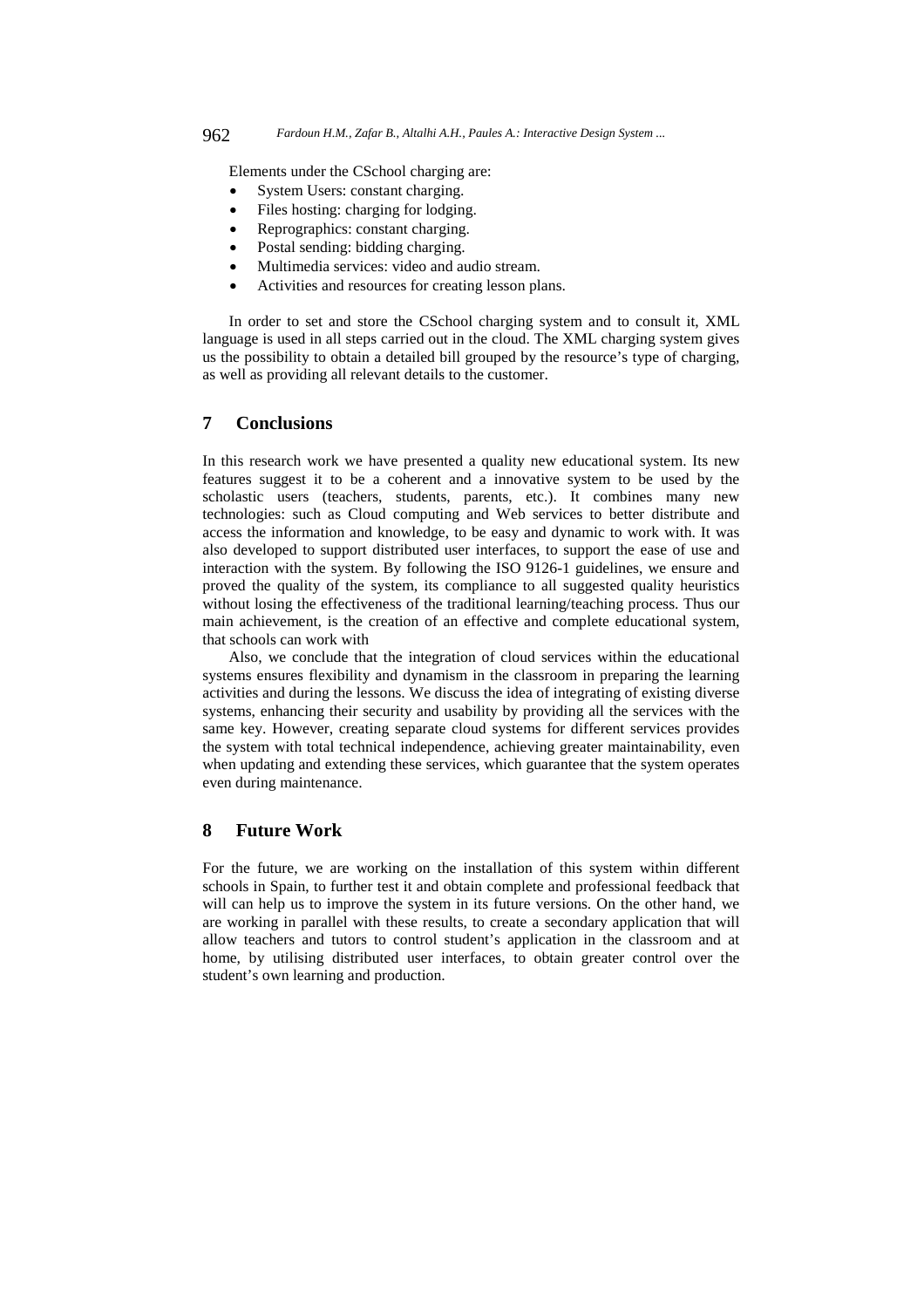Elements under the CSchool charging are:

- System Users: constant charging.
- Files hosting: charging for lodging.
- Reprographics: constant charging.
- Postal sending: bidding charging.
- Multimedia services: video and audio stream.
- Activities and resources for creating lesson plans.

In order to set and store the CSchool charging system and to consult it, XML language is used in all steps carried out in the cloud. The XML charging system gives us the possibility to obtain a detailed bill grouped by the resource's type of charging, as well as providing all relevant details to the customer.

# **7 Conclusions**

In this research work we have presented a quality new educational system. Its new features suggest it to be a coherent and a innovative system to be used by the scholastic users (teachers, students, parents, etc.). It combines many new technologies: such as Cloud computing and Web services to better distribute and access the information and knowledge, to be easy and dynamic to work with. It was also developed to support distributed user interfaces, to support the ease of use and interaction with the system. By following the ISO 9126-1 guidelines, we ensure and proved the quality of the system, its compliance to all suggested quality heuristics without losing the effectiveness of the traditional learning/teaching process. Thus our main achievement, is the creation of an effective and complete educational system, that schools can work with

Also, we conclude that the integration of cloud services within the educational systems ensures flexibility and dynamism in the classroom in preparing the learning activities and during the lessons. We discuss the idea of integrating of existing diverse systems, enhancing their security and usability by providing all the services with the same key. However, creating separate cloud systems for different services provides the system with total technical independence, achieving greater maintainability, even when updating and extending these services, which guarantee that the system operates even during maintenance.

# **8 Future Work**

For the future, we are working on the installation of this system within different schools in Spain, to further test it and obtain complete and professional feedback that will can help us to improve the system in its future versions. On the other hand, we are working in parallel with these results, to create a secondary application that will allow teachers and tutors to control student's application in the classroom and at home, by utilising distributed user interfaces, to obtain greater control over the student's own learning and production.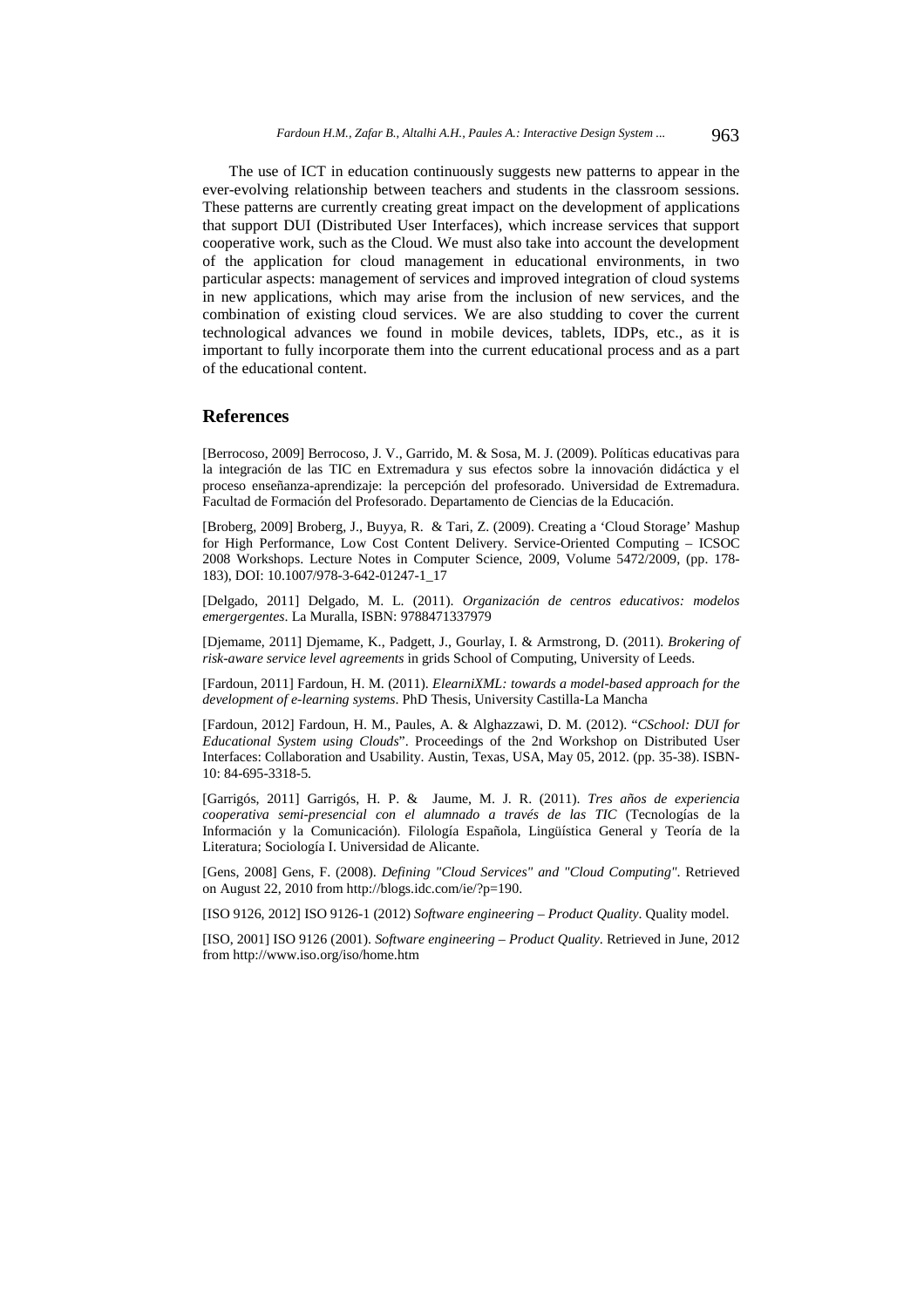The use of ICT in education continuously suggests new patterns to appear in the ever-evolving relationship between teachers and students in the classroom sessions. These patterns are currently creating great impact on the development of applications that support DUI (Distributed User Interfaces), which increase services that support cooperative work, such as the Cloud. We must also take into account the development of the application for cloud management in educational environments, in two particular aspects: management of services and improved integration of cloud systems in new applications, which may arise from the inclusion of new services, and the combination of existing cloud services. We are also studding to cover the current technological advances we found in mobile devices, tablets, IDPs, etc., as it is important to fully incorporate them into the current educational process and as a part of the educational content.

### **References**

[Berrocoso, 2009] Berrocoso, J. V., Garrido, M. & Sosa, M. J. (2009). Políticas educativas para la integración de las TIC en Extremadura y sus efectos sobre la innovación didáctica y el proceso enseñanza-aprendizaje: la percepción del profesorado. Universidad de Extremadura. Facultad de Formación del Profesorado. Departamento de Ciencias de la Educación.

[Broberg, 2009] Broberg, J., Buyya, R. & Tari, Z. (2009). Creating a 'Cloud Storage' Mashup for High Performance, Low Cost Content Delivery. Service-Oriented Computing – ICSOC 2008 Workshops. Lecture Notes in Computer Science, 2009, Volume 5472/2009, (pp. 178- 183), DOI: 10.1007/978-3-642-01247-1\_17

[Delgado, 2011] Delgado, M. L. (2011). *Organización de centros educativos: modelos emergergentes*. La Muralla, ISBN: 9788471337979

[Djemame, 2011] Djemame, K., Padgett, J., Gourlay, I. & Armstrong, D. (2011). *Brokering of risk-aware service level agreements* in grids School of Computing, University of Leeds.

[Fardoun, 2011] Fardoun, H. M. (2011). *ElearniXML: towards a model-based approach for the development of e-learning systems*. PhD Thesis, University Castilla-La Mancha

[Fardoun, 2012] Fardoun, H. M., Paules, A. & Alghazzawi, D. M. (2012). "*CSchool: DUI for Educational System using Clouds*". Proceedings of the 2nd Workshop on Distributed User Interfaces: Collaboration and Usability. Austin, Texas, USA, May 05, 2012. (pp. 35-38). ISBN-10: 84-695-3318-5.

[Garrigós, 2011] Garrigós, H. P. & Jaume, M. J. R. (2011). *Tres años de experiencia cooperativa semi-presencial con el alumnado a través de las TIC* (Tecnologías de la Información y la Comunicación). Filología Española, Lingüística General y Teoría de la Literatura; Sociología I. Universidad de Alicante.

[Gens, 2008] Gens, F. (2008). *Defining "Cloud Services" and "Cloud Computing"*. Retrieved on August 22, 2010 from http://blogs.idc.com/ie/?p=190.

[ISO 9126, 2012] ISO 9126-1 (2012) *Software engineering – Product Quality*. Quality model.

[ISO, 2001] ISO 9126 (2001). *Software engineering – Product Quality*. Retrieved in June, 2012 from http://www.iso.org/iso/home.htm